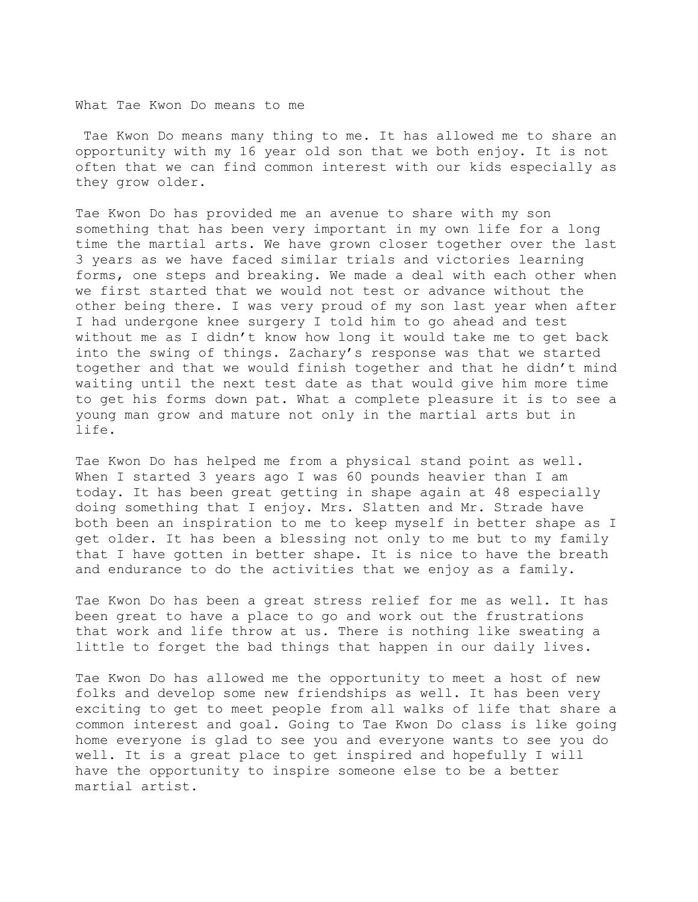What Tae Kwon Do means to me

 Tae Kwon Do means many thing to me. It has allowed me to share an opportunity with my 16 year old son that we both enjoy. It is not often that we can find common interest with our kids especially as they grow older.

Tae Kwon Do has provided me an avenue to share with my son something that has been very important in my own life for a long time the martial arts. We have grown closer together over the last 3 years as we have faced similar trials and victories learning forms, one steps and breaking. We made a deal with each other when we first started that we would not test or advance without the other being there. I was very proud of my son last year when after I had undergone knee surgery I told him to go ahead and test without me as I didn't know how long it would take me to get back into the swing of things. Zachary's response was that we started together and that we would finish together and that he didn't mind waiting until the next test date as that would give him more time to get his forms down pat. What a complete pleasure it is to see a young man grow and mature not only in the martial arts but in life.

Tae Kwon Do has helped me from a physical stand point as well. When I started 3 years ago I was 60 pounds heavier than I am today. It has been great getting in shape again at 48 especially doing something that I enjoy. Mrs. Slatten and Mr. Strade have both been an inspiration to me to keep myself in better shape as I get older. It has been a blessing not only to me but to my family that I have gotten in better shape. It is nice to have the breath and endurance to do the activities that we enjoy as a family.

Tae Kwon Do has been a great stress relief for me as well. It has been great to have a place to go and work out the frustrations that work and life throw at us. There is nothing like sweating a little to forget the bad things that happen in our daily lives.

Tae Kwon Do has allowed me the opportunity to meet a host of new folks and develop some new friendships as well. It has been very exciting to get to meet people from all walks of life that share a common interest and goal. Going to Tae Kwon Do class is like going home everyone is glad to see you and everyone wants to see you do well. It is a great place to get inspired and hopefully I will have the opportunity to inspire someone else to be a better martial artist.